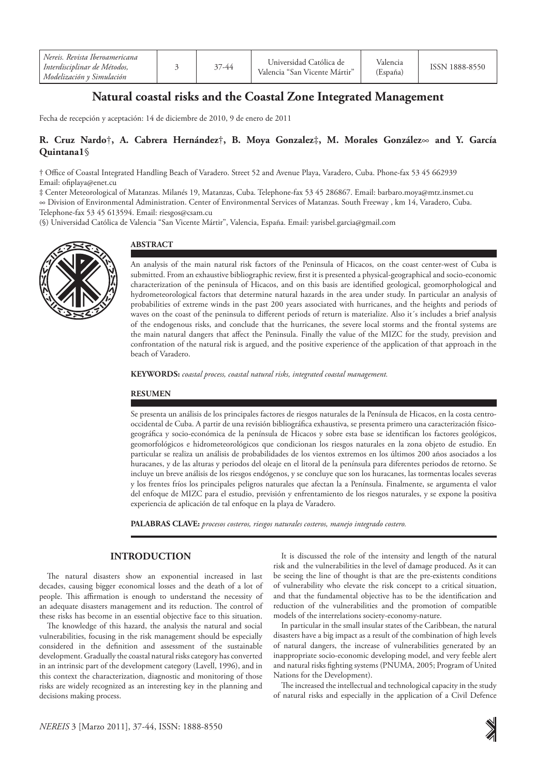| Nereis, Revista Iberoamericana<br>Interdisciplinar de Métodos,<br>Modelización y Simulación |  | 37-44 | Universidad Católica de<br>Valencia "San Vicente Mártir" | Valencia<br>(España) | ISSN 1888-8550 |
|---------------------------------------------------------------------------------------------|--|-------|----------------------------------------------------------|----------------------|----------------|
|---------------------------------------------------------------------------------------------|--|-------|----------------------------------------------------------|----------------------|----------------|

# **Natural coastal risks and the Coastal Zone Integrated Management**

Fecha de recepción y aceptación: 14 de diciembre de 2010, 9 de enero de 2011

# **R. Cruz Nardo**†**, A. Cabrera Hernández**†**, B. Moya Gonzalez**‡**, M. Morales González**∞ **and Y. García Quintana1**§

† Office of Coastal Integrated Handling Beach of Varadero. Street 52 and Avenue Playa, Varadero, Cuba. Phone-fax 53 45 662939 Email: ofiplaya@enet.cu

‡ Center Meteorological of Matanzas. Milanés 19, Matanzas, Cuba. Telephone-fax 53 45 286867. Email: barbaro.moya@mtz.insmet.cu ∞ Division of Environmental Administration. Center of Environmental Services of Matanzas. South Freeway , km 14, Varadero, Cuba. Telephone-fax 53 45 613594. Email: riesgos@csam.cu

(§) Universidad Católica de Valencia "San Vicente Mártir", Valencia, España. Email: yarisbel.garcia@gmail.com



## **Abstract**

An analysis of the main natural risk factors of the Peninsula of Hicacos, on the coast center-west of Cuba is submitted. From an exhaustive bibliographic review, first it is presented a physical-geographical and socio-economic characterization of the peninsula of Hicacos, and on this basis are identified geological, geomorphological and hydrometeorological factors that determine natural hazards in the area under study. In particular an analysis of probabilities of extreme winds in the past 200 years associated with hurricanes, and the heights and periods of waves on the coast of the peninsula to different periods of return is materialize. Also it´s includes a brief analysis of the endogenous risks, and conclude that the hurricanes, the severe local storms and the frontal systems are the main natural dangers that affect the Peninsula. Finally the value of the MIZC for the study, prevision and confrontation of the natural risk is argued, and the positive experience of the application of that approach in the beach of Varadero.

KEYWORDS: coastal process, coastal natural risks, integrated coastal management.

### **RESUMEN**

Se presenta un análisis de los principales factores de riesgos naturales de la Península de Hicacos, en la costa centrooccidental de Cuba. A partir de una revisión bibliográfica exhaustiva, se presenta primero una caracterización físicogeográfica y socio-económica de la península de Hicacos y sobre esta base se identifican los factores geológicos, geomorfológicos e hidrometeorológicos que condicionan los riesgos naturales en la zona objeto de estudio. En particular se realiza un análisis de probabilidades de los vientos extremos en los últimos 200 años asociados a los huracanes, y de las alturas y periodos del oleaje en el litoral de la península para diferentes periodos de retorno. Se incluye un breve análisis de los riesgos endógenos, y se concluye que son los huracanes, las tormentas locales severas y los frentes fríos los principales peligros naturales que afectan la a Península. Finalmente, se argumenta el valor del enfoque de MIZC para el estudio, previsión y enfrentamiento de los riesgos naturales, y se expone la positiva experiencia de aplicación de tal enfoque en la playa de Varadero.

**PALABRAS CLAVE:** *procesos costeros, riesgos naturales costeros, manejo integrado costero.*

# **INTRODUCTION**

The natural disasters show an exponential increased in last decades, causing bigger economical losses and the death of a lot of people. This affirmation is enough to understand the necessity of an adequate disasters management and its reduction. The control of these risks has become in an essential objective face to this situation.

The knowledge of this hazard, the analysis the natural and social vulnerabilities, focusing in the risk management should be especially considered in the definition and assessment of the sustainable development. Gradually the coastal natural risks category has converted in an intrinsic part of the development category (Lavell, 1996), and in this context the characterization, diagnostic and monitoring of those risks are widely recognized as an interesting key in the planning and decisions making process.

It is discussed the role of the intensity and length of the natural risk and the vulnerabilities in the level of damage produced. As it can be seeing the line of thought is that are the pre-existents conditions of vulnerability who elevate the risk concept to a critical situation, and that the fundamental objective has to be the identification and reduction of the vulnerabilities and the promotion of compatible models of the interrelations society-economy-nature.

In particular in the small insular states of the Caribbean, the natural disasters have a big impact as a result of the combination of high levels of natural dangers, the increase of vulnerabilities generated by an inappropriate socio-economic developing model, and very feeble alert and natural risks fighting systems (PNUMA, 2005; Program of United Nations for the Development).

The increased the intellectual and technological capacity in the study of natural risks and especially in the application of a Civil Defence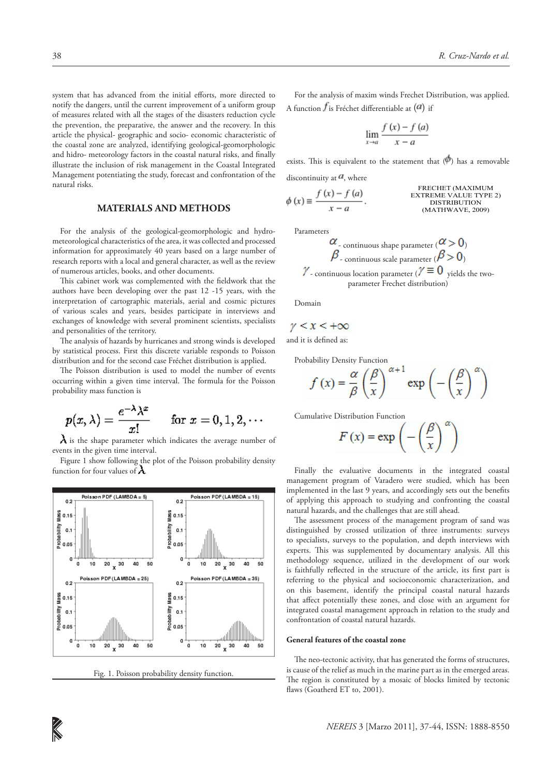system that has advanced from the initial efforts, more directed to notify the dangers, until the current improvement of a uniform group of measures related with all the stages of the disasters reduction cycle the prevention, the preparative, the answer and the recovery. In this article the physical- geographic and socio- economic characteristic of the coastal zone are analyzed, identifying geological-geomorphologic and hidro- meteorology factors in the coastal natural risks, and finally illustrate the inclusion of risk management in the Coastal Integrated Management potentiating the study, forecast and confrontation of the natural risks.

# **MATERIALS AND METHODS**

For the analysis of the geological-geomorphologic and hydrometeorological characteristics of the area, it was collected and processed information for approximately 40 years based on a large number of research reports with a local and general character, as well as the review of numerous articles, books, and other documents.

This cabinet work was complemented with the fieldwork that the authors have been developing over the past 12 -15 years, with the interpretation of cartographic materials, aerial and cosmic pictures of various scales and years, besides participate in interviews and exchanges of knowledge with several prominent scientists, specialists and personalities of the territory.

The analysis of hazards by hurricanes and strong winds is developed by statistical process. First this discrete variable responds to Poisson distribution and for the second case Fréchet distribution is applied.

The Poisson distribution is used to model the number of events occurring within a given time interval. The formula for the Poisson probability mass function is

$$
p(x,\lambda)=\frac{e^{-\lambda}\lambda^x}{x!}\qquad\text{for }x=0,1,2,\cdots
$$

 $\lambda$  is the shape parameter which indicates the average number of events in the given time interval.

Figure 1 show following the plot of the Poisson probability density function for four values of  $\lambda$ 



Fig. 1. Poisson probability density function.

For the analysis of maxim winds Frechet Distribution, was applied. A function  $f$  is Fréchet differentiable at  $(a)$  if

$$
\lim_{x \to a} \frac{f(x) - f(a)}{x - a}
$$

exists. This is equivalent to the statement that  $(\phi)$  has a removable

discontinuity at  $\mathbf{a}$ , where

$$
\phi(x) \equiv \frac{f(x) - f(a)}{x - a}.
$$
\n  
\n**EXECUTE** (MAXIMUM  
\nDISTRIBUTION  
\nMATHWAVE, 2009)

Parameters

$$
\alpha_{\text{continuous shape parameter}} (\alpha > 0)
$$
  

$$
\beta_{\text{-continuous scale parameter}} (\beta > 0)
$$
  
-\ncontinuous location parameter ( $\gamma \equiv 0$  yields the two-parameter Frechet distribution)

Domain

$$
\gamma < x < +\infty
$$

and it is defined as:

Probability Density Function

$$
f(x) = \frac{\alpha}{\beta} \left(\frac{\beta}{x}\right)^{\alpha+1} \exp\left(-\left(\frac{\beta}{x}\right)^{\alpha}\right)
$$

Cumulative Distribution Function

$$
F(x) = \exp\left(-\left(\frac{\beta}{x}\right)^{\alpha}\right)
$$

Finally the evaluative documents in the integrated coastal management program of Varadero were studied, which has been implemented in the last 9 years, and accordingly sets out the benefits of applying this approach to studying and confronting the coastal natural hazards, and the challenges that are still ahead.

The assessment process of the management program of sand was distinguished by crossed utilization of three instruments: surveys to specialists, surveys to the population, and depth interviews with experts. This was supplemented by documentary analysis. All this methodology sequence, utilized in the development of our work is faithfully reflected in the structure of the article, its first part is referring to the physical and socioeconomic characterization, and on this basement, identify the principal coastal natural hazards that affect potentially these zones, and close with an argument for integrated coastal management approach in relation to the study and confrontation of coastal natural hazards.

#### **General features of the coastal zone**

The neo-tectonic activity, that has generated the forms of structures, is cause of the relief as much in the marine part as in the emerged areas. The region is constituted by a mosaic of blocks limited by tectonic flaws (Goatherd ET to, 2001).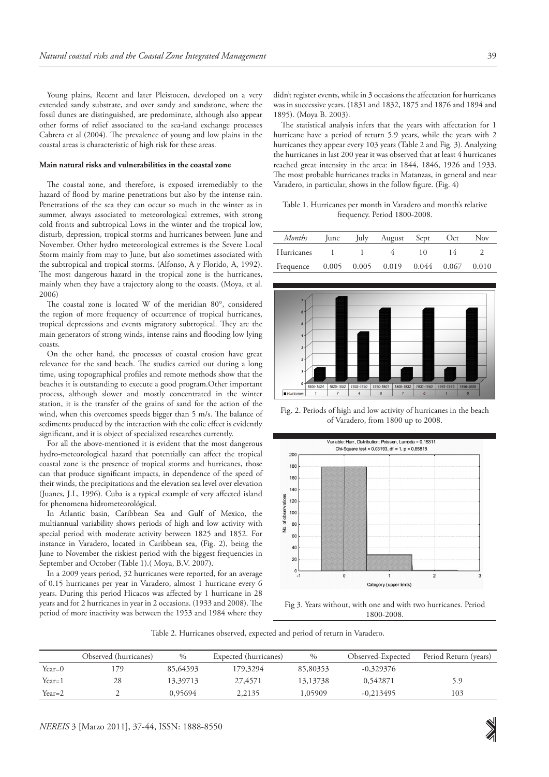Young plains, Recent and later Pleistocen, developed on a very extended sandy substrate, and over sandy and sandstone, where the fossil dunes are distinguished, are predominate, although also appear other forms of relief associated to the sea-land exchange processes Cabrera et al (2004). The prevalence of young and low plains in the coastal areas is characteristic of high risk for these areas.

#### **Main natural risks and vulnerabilities in the coastal zone**

The coastal zone, and therefore, is exposed irremediably to the hazard of flood by marine penetrations but also by the intense rain. Penetrations of the sea they can occur so much in the winter as in summer, always associated to meteorological extremes, with strong cold fronts and subtropical Lows in the winter and the tropical low, disturb, depression, tropical storms and hurricanes between June and November. Other hydro meteorological extremes is the Severe Local Storm mainly from may to June, but also sometimes associated with the subtropical and tropical storms. (Alfonso, A y Florido, A, 1992). The most dangerous hazard in the tropical zone is the hurricanes, mainly when they have a trajectory along to the coasts. (Moya, et al. 2006)

The coastal zone is located W of the meridian 80°, considered the region of more frequency of occurrence of tropical hurricanes, tropical depressions and events migratory subtropical. They are the main generators of strong winds, intense rains and flooding low lying coasts.

On the other hand, the processes of coastal erosion have great relevance for the sand beach. The studies carried out during a long time, using topographical profiles and remote methods show that the beaches it is outstanding to execute a good program.Other important process, although slower and mostly concentrated in the winter station, it is the transfer of the grains of sand for the action of the wind, when this overcomes speeds bigger than 5 m/s. The balance of sediments produced by the interaction with the eolic effect is evidently significant, and it is object of specialized researches currently.

For all the above-mentioned it is evident that the most dangerous hydro-meteorological hazard that potentially can affect the tropical coastal zone is the presence of tropical storms and hurricanes, those can that produce significant impacts, in dependence of the speed of their winds, the precipitations and the elevation sea level over elevation (Juanes, J.L, 1996). Cuba is a typical example of very affected island for phenomena hidrometeorológical.

In Atlantic basin, Caribbean Sea and Gulf of Mexico, the multiannual variability shows periods of high and low activity with special period with moderate activity between 1825 and 1852. For instance in Varadero, located in Caribbean sea, (Fig. 2), being the June to November the riskiest period with the biggest frequencies in September and October (Table 1).( Moya, B.V. 2007).

In a 2009 years period, 32 hurricanes were reported, for an average of 0.15 hurricanes per year in Varadero, almost 1 hurricane every 6 years. During this period Hicacos was affected by 1 hurricane in 28 years and for 2 hurricanes in year in 2 occasions. (1933 and 2008). The period of more inactivity was between the 1953 and 1984 where they didn't register events, while in 3 occasions the affectation for hurricanes was in successive years. (1831 and 1832, 1875 and 1876 and 1894 and 1895). (Moya B. 2003).

The statistical analysis infers that the years with affectation for 1 hurricane have a period of return 5.9 years, while the years with 2 hurricanes they appear every 103 years (Table 2 and Fig. 3). Analyzing the hurricanes in last 200 year it was observed that at least 4 hurricanes reached great intensity in the area: in 1844, 1846, 1926 and 1933. The most probable hurricanes tracks in Matanzas, in general and near Varadero, in particular, shows in the follow figure. (Fig. 4)

Table 1. Hurricanes per month in Varadero and month's relative frequency. Period 1800-2008.

| Months     | lune | lulv | August                                  | Sept | Oct | Nov   |
|------------|------|------|-----------------------------------------|------|-----|-------|
| Hurricanes |      |      |                                         | 10   |     |       |
| Frequence  |      |      | $0.005$ $0.005$ $0.019$ $0.044$ $0.067$ |      |     | 0.010 |



Fig. 2. Periods of high and low activity of hurricanes in the beach of Varadero, from 1800 up to 2008.



Fig 3. Years without, with one and with two hurricanes. Period 1800-2008.

Table 2. Hurricanes observed, expected and period of return in Varadero.

|          | Observed (hurricanes) | $\%$     | Expected (hurricanes) | $\frac{0}{0}$ | Observed-Expected | Period Return (years) |
|----------|-----------------------|----------|-----------------------|---------------|-------------------|-----------------------|
| Year=0   | 79                    | 85,64593 | 179,3294              | 85,80353      | $-0.329376$       |                       |
| Year=1   | 28                    | 13.39713 | 27,4571               | 13,13738      | 0.542871          | 5.9                   |
| $Year=2$ |                       | 0.95694  | 2,2135                | 1,05909       | $-0,213495$       | 103                   |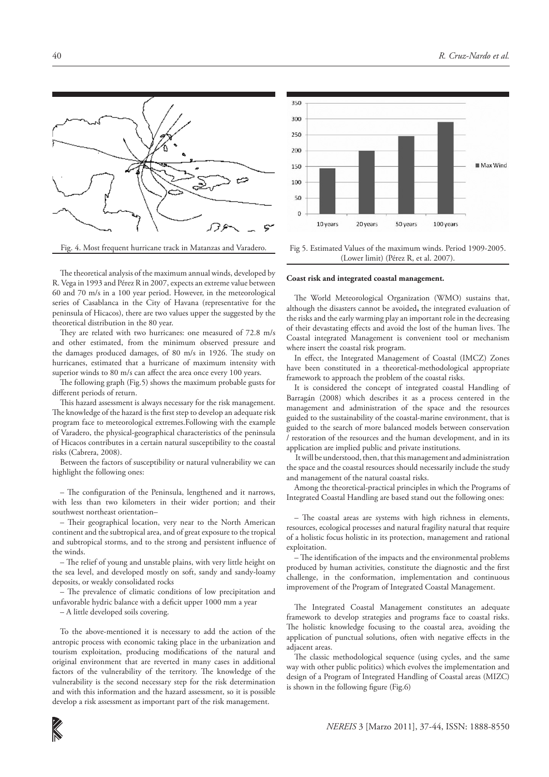



Fig. 4. Most frequent hurricane track in Matanzas and Varadero.

Fig 5. Estimated Values of the maximum winds. Period 1909-2005. (Lower limit) (Pérez R, et al. 2007).

The theoretical analysis of the maximum annual winds, developed by R. Vega in 1993 and Pérez R in 2007, expects an extreme value between 60 and 70 m/s in a 100 year period. However, in the meteorological series of Casablanca in the City of Havana (representative for the peninsula of Hicacos), there are two values upper the suggested by the theoretical distribution in the 80 year.

They are related with two hurricanes: one measured of 72.8 m/s and other estimated, from the minimum observed pressure and the damages produced damages, of 80 m/s in 1926. The study on hurricanes, estimated that a hurricane of maximum intensity with superior winds to 80 m/s can affect the area once every 100 years.

The following graph (Fig.5) shows the maximum probable gusts for different periods of return.

This hazard assessment is always necessary for the risk management. The knowledge of the hazard is the first step to develop an adequate risk program face to meteorological extremes.Following with the example of Varadero, the physical-geographical characteristics of the peninsula of Hicacos contributes in a certain natural susceptibility to the coastal risks (Cabrera, 2008).

Between the factors of susceptibility or natural vulnerability we can highlight the following ones:

– The configuration of the Peninsula, lengthened and it narrows, with less than two kilometers in their wider portion; and their southwest northeast orientation–

– Their geographical location, very near to the North American continent and the subtropical area, and of great exposure to the tropical and subtropical storms, and to the strong and persistent influence of the winds.

– The relief of young and unstable plains, with very little height on the sea level, and developed mostly on soft, sandy and sandy-loamy deposits, or weakly consolidated rocks

– The prevalence of climatic conditions of low precipitation and unfavorable hydric balance with a deficit upper 1000 mm a year

– A little developed soils covering.

To the above-mentioned it is necessary to add the action of the antropic process with economic taking place in the urbanization and tourism exploitation, producing modifications of the natural and original environment that are reverted in many cases in additional factors of the vulnerability of the territory. The knowledge of the vulnerability is the second necessary step for the risk determination and with this information and the hazard assessment, so it is possible develop a risk assessment as important part of the risk management.

**Coast risk and integrated coastal management.** 

The World Meteorological Organization (WMO) sustains that, although the disasters cannot be avoided**,** the integrated evaluation of the risks and the early warming play an important role in the decreasing of their devastating effects and avoid the lost of the human lives. The Coastal integrated Management is convenient tool or mechanism where insert the coastal risk program.

In effect, the Integrated Management of Coastal (IMCZ) Zones have been constituted in a theoretical-methodological appropriate framework to approach the problem of the coastal risks.

It is considered the concept of integrated coastal Handling of Barragán (2008) which describes it as a process centered in the management and administration of the space and the resources guided to the sustainability of the coastal-marine environment, that is guided to the search of more balanced models between conservation / restoration of the resources and the human development, and in its application are implied public and private institutions.

 It will be understood, then, that this management and administration the space and the coastal resources should necessarily include the study and management of the natural coastal risks.

Among the theoretical-practical principles in which the Programs of Integrated Coastal Handling are based stand out the following ones:

– The coastal areas are systems with high richness in elements, resources, ecological processes and natural fragility natural that require of a holistic focus holistic in its protection, management and rational exploitation.

– The identification of the impacts and the environmental problems produced by human activities, constitute the diagnostic and the first challenge, in the conformation, implementation and continuous improvement of the Program of Integrated Coastal Management.

The Integrated Coastal Management constitutes an adequate framework to develop strategies and programs face to coastal risks. The holistic knowledge focusing to the coastal area, avoiding the application of punctual solutions, often with negative effects in the adjacent areas.

The classic methodological sequence (using cycles, and the same way with other public politics) which evolves the implementation and design of a Program of Integrated Handling of Coastal areas (MIZC) is shown in the following figure (Fig.6)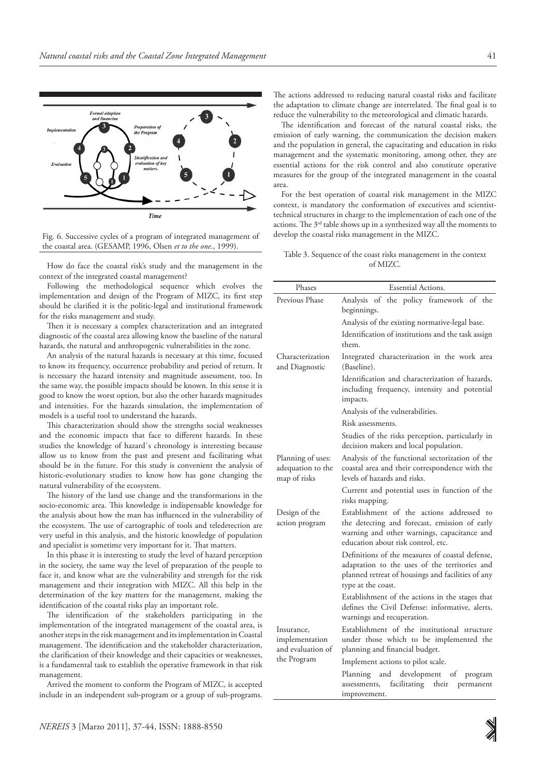

Fig. 6. Successive cycles of a program of integrated management of the coastal area. (GESAMP, 1996, Olsen *et to the one.*, 1999).

How do face the coastal risk's study and the management in the context of the integrated coastal management?

Following the methodological sequence which evolves the implementation and design of the Program of MIZC, its first step should be clarified it is the politic-legal and institutional framework for the risks management and study.

Then it is necessary a complex characterization and an integrated diagnostic of the coastal area allowing know the baseline of the natural hazards, the natural and anthropogenic vulnerabilities in the zone.

An analysis of the natural hazards is necessary at this time, focused to know its frequency, occurrence probability and period of return. It is necessary the hazard intensity and magnitude assessment, too. In the same way, the possible impacts should be known. In this sense it is good to know the worst option, but also the other hazards magnitudes and intensities. For the hazards simulation, the implementation of models is a useful tool to understand the hazards.

This characterization should show the strengths social weaknesses and the economic impacts that face to different hazards. In these studies the knowledge of hazard´s chronology is interesting because allow us to know from the past and present and facilitating what should be in the future. For this study is convenient the analysis of historic-evolutionary studies to know how has gone changing the natural vulnerability of the ecosystem.

The history of the land use change and the transformations in the socio-economic area. This knowledge is indispensable knowledge for the analysis about how the man has influenced in the vulnerability of the ecosystem. The use of cartographic of tools and teledetection are very useful in this analysis, and the historic knowledge of population and specialist is sometime very important for it. That matters.

In this phase it is interesting to study the level of hazard perception in the society, the same way the level of preparation of the people to face it, and know what are the vulnerability and strength for the risk management and their integration with MIZC. All this help in the determination of the key matters for the management, making the identification of the coastal risks play an important role.

The identification of the stakeholders participating in the implementation of the integrated management of the coastal area, is another steps in the risk management and its implementation in Coastal management. The identification and the stakeholder characterization, the clarification of their knowledge and their capacities or weaknesses, is a fundamental task to establish the operative framework in that risk management.

Arrived the moment to conform the Program of MIZC, is accepted include in an independent sub-program or a group of sub-programs. The actions addressed to reducing natural coastal risks and facilitate the adaptation to climate change are interrelated. The final goal is to reduce the vulnerability to the meteorological and climatic hazards.

The identification and forecast of the natural coastal risks, the emission of early warning, the communication the decision makers and the population in general, the capacitating and education in risks management and the systematic monitoring, among other, they are essential actions for the risk control and also constitute operative measures for the group of the integrated management in the coastal area.

For the best operation of coastal risk management in the MIZC context, is mandatory the conformation of executives and scientisttechnical structures in charge to the implementation of each one of the actions. The  $3^{rd}$  table shows up in a synthesized way all the moments to develop the coastal risks management in the MIZC.

Table 3. Sequence of the coast risks management in the context of MIZC.

| Phases                                                           | <b>Essential Actions.</b>                                                                                                                                                       |  |  |  |
|------------------------------------------------------------------|---------------------------------------------------------------------------------------------------------------------------------------------------------------------------------|--|--|--|
| Previous Phase                                                   | the policy framework of the<br>of<br>Analysis<br>beginnings.                                                                                                                    |  |  |  |
|                                                                  | Analysis of the existing normative-legal base.                                                                                                                                  |  |  |  |
|                                                                  | Identification of institutions and the task assign<br>them.                                                                                                                     |  |  |  |
| Characterization<br>and Diagnostic                               | Integrated characterization in the work area<br>(Baseline).                                                                                                                     |  |  |  |
|                                                                  | Identification and characterization of hazards,<br>including frequency, intensity and potential<br>impacts.                                                                     |  |  |  |
|                                                                  | Analysis of the vulnerabilities.                                                                                                                                                |  |  |  |
|                                                                  | Risk assessments.                                                                                                                                                               |  |  |  |
|                                                                  | Studies of the risks perception, particularly in<br>decision makers and local population.                                                                                       |  |  |  |
| Planning of uses:<br>adequation to the<br>map of risks           | Analysis of the functional sectorization of the<br>coastal area and their correspondence with the<br>levels of hazards and risks.                                               |  |  |  |
|                                                                  | Current and potential uses in function of the<br>risks mapping.                                                                                                                 |  |  |  |
| Design of the<br>action program                                  | Establishment of the actions addressed to<br>the detecting and forecast, emission of early<br>warning and other warnings, capacitance and<br>education about risk control, etc. |  |  |  |
|                                                                  | Definitions of the measures of coastal defense,<br>adaptation to the uses of the territories and<br>planned retreat of housings and facilities of any<br>type at the coast.     |  |  |  |
|                                                                  | Establishment of the actions in the stages that<br>defines the Civil Defense: informative, alerts,<br>warnings and recuperation.                                                |  |  |  |
| Insurance,<br>implementation<br>and evaluation of<br>the Program | Establishment of the institutional structure<br>under those which to be implemented the<br>planning and financial budget.                                                       |  |  |  |
|                                                                  | Implement actions to pilot scale.                                                                                                                                               |  |  |  |
|                                                                  | development of<br>Planning<br>and<br>program<br>facilitating their<br>permanent<br>assessments,<br>improvement.                                                                 |  |  |  |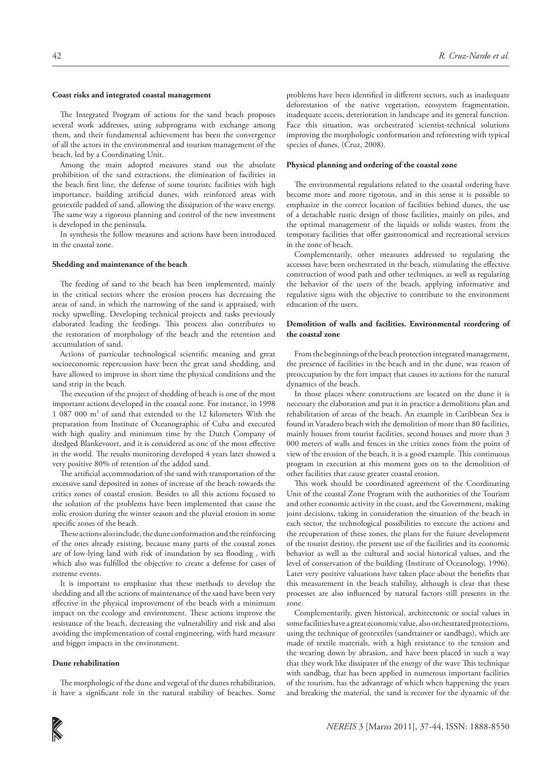### **Coast risks and integrated coastal management**

The Integrated Program of actions for the sand beach proposes several work addresses, using subprograms with exchange among them, and their fundamental achievement has been the convergence of all the actors in the environmental and tourism management of the beach, led by a Coordinating Unit.

Among the main adopted measures stand out the absolute prohibition of the sand extractions, the elimination of facilities in the beach first line, the defense of some touristc facilities with high importance, building artificial dunes, with reinforced areas with geotextile padded of sand, allowing the dissipation of the wave energy. The same way a rigorous planning and control of the new investment is developed in the peninsula.

In synthesis the follow measures and actions have been introduced in the coastal zone.

#### **Shedding and maintenance of the beach**

The feeding of sand to the beach has been implemented, mainly in the critical sectors where the erosion process has decreasing the areas of sand, in which the narrowing of the sand is appraised, with rocky upwelling. Developing technical projects and tasks previously elaborated leading the feedings. This process also contributes to the restoration of morphology of the beach and the retention and accumulation of sand.

Actions of particular technological scientific meaning and great socioeconomic repercussion have been the great sand shedding, and have allowed to improve in short time the physical conditions and the sand strip in the beach.

The execution of the project of shedding of beach is one of the most important actions developed in the coastal zone. For instance, in 1998 1 087 000 m3 of sand that extended to the 12 kilometers With the preparation from Institute of Oceanographic of Cuba and executed with high quality and minimum time by the Dutch Company of dredged Blankevoort, and it is considered as one of the most effective in the world. The results monitoring developed 4 years later showed a very positive 80% of retention of the added sand.

The artificial accommodation of the sand with transportation of the excessive sand deposited in zones of increase of the beach towards the critics zones of coastal erosion. Besides to all this actions focused to the solution of the problems have been implemented that cause the eolic erosion during the winter season and the pluvial erosion in some specific zones of the beach.

These actions also include, the dune conformation and the reinforcing of the ones already existing, because many parts of the coastal zones are of low-lying land with risk of inundation by sea flooding , with which also was fulfilled the objective to create a defense for cases of extreme events.

It is important to emphasize that these methods to develop the shedding and all the actions of maintenance of the sand have been very effective in the physical improvement of the beach with a minimum impact on the ecology and environment. These actions improve the resistance of the beach, decreasing the vulnerability and risk and also avoiding the implementation of costal engineering, with hard measure and bigger impacts in the environment.

### **Dune rehabilitation**

The morphologic of the dune and vegetal of the dunes rehabilitation, it have a significant role in the natural stability of beaches. Some

problems have been identified in different sectors, such as inadequate deforestation of the native vegetation, ecosystem fragmentation, inadequate access, deterioration in landscape and its general function. Face this situation, was orchestrated scientist-technical solutions improving the morphologic conformation and reforesting with typical species of dunes. (Cruz, 2008).

#### **Physical planning and ordering of the coastal zone**

The environmental regulations related to the coastal ordering have become more and more rigorous, and in this sense it is possible to emphasize in the correct location of facilities behind dunes, the use of a detachable rustic design of those facilities, mainly on piles, and the optimal management of the liquids or solids wastes, from the temporary facilities that offer gastronomical and recreational services in the zone of beach.

Complementarily, other measures addressed to regulating the accesses have been orchestrated in the beach, stimulating the effective construction of wood path and other techniques, as well as regulating the behavior of the users of the beach, applying informative and regulative signs with the objective to contribute to the environment education of the users.

### **Demolition of walls and facilities. Environmental reordering of the coastal zone**

From the beginnings of the beach protection integrated management, the presence of facilities in the beach and in the dune, was reason of preoccupation by the fort impact that causes its actions for the natural dynamics of the beach.

In those places where constructions are located on the dune it is necessary the elaboration and put it in practice a demolitions plan and rehabilitation of areas of the beach. An example in Caribbean Sea is found in Varadero beach with the demolition of more than 80 facilities, mainly houses from tourist facilities, second houses and more than 3 000 meters of walls and fences in the critics zones from the point of view of the erosion of the beach, it is a good example. This continuous program in execution at this moment goes on to the demolition of other facilities that cause greater coastal erosion.

This work should be coordinated agreement of the Coordinating Unit of the coastal Zone Program with the authorities of the Tourism and other economic activity in the coast, and the Government, making joint decisions, taking in consideration the situation of the beach in each sector, the technological possibilities to execute the actions and the recuperation of these zones, the plans for the future development of the tourist destiny, the present use of the facilities and its economic behavior as well as the cultural and social historical values, and the level of conservation of the building (Institute of Oceanology, 1996). Later very positive valuations have taken place about the benefits that this measurement in the beach stability, although is clear that these processes are also influenced by natural factors still presents in the zone.

Complementarily, given historical, architectonic or social values in some facilities have a great economic value, also orchestrated protections, using the technique of geotextiles (sandttainer or sandbags), which are made of textile materials, with a high resistance to the tension and the wearing down by abrasion, and have been placed in such a way that they work like dissipater of the energy of the wave This technique with sandbag, that has been applied in numerous important facilities of the tourism, has the advantage of which when happening the years and breaking the material, the sand is recover for the dynamic of the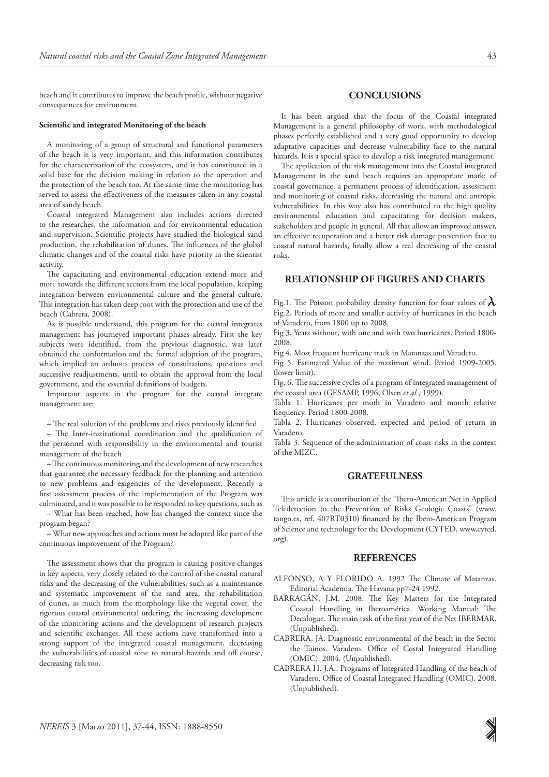beach and it contributes to improve the beach profile, without negative consequences for environment.

#### **Scientific and integrated Monitoring of the beach**

A monitoring of a group of structural and functional parameters of the beach it is very important, and this information contributes for the characterization of the ecosystem, and it has constituted in a solid base for the decision making in relation to the operation and the protection of the beach too. At the same time the monitoring has served to assess the effectiveness of the measures taken in any coastal area of sandy beach.

Coastal integrated Management also includes actions directed to the researches, the information and for environmental education and supervision. Scientific projects have studied the biological sand production, the rehabilitation of dunes. The influences of the global climatic changes and of the coastal risks have priority in the scientist activity.

The capacitating and environmental education extend more and more towards the different sectors from the local population, keeping integration between environmental culture and the general culture. This integration has taken deep root with the protection and use of the beach (Cabrera, 2008).

As is possible understand, this program for the coastal integrates management has journeyed important phases already. First the key subjects were identified, from the previous diagnostic, was later obtained the conformation and the formal adoption of the program, which implied an arduous process of consultations, questions and successive readjustments, until to obtain the approval from the local government, and the essential definitions of budgets.

Important aspects in the program for the coastal integrate management are:

– The real solution of the problems and risks previously identified

– The Inter-institutional coordination and the qualification of the personnel with responsibility in the environmental and tourist management of the beach

– The continuous monitoring and the development of new researches that guarantee the necessary feedback for the planning and attention to new problems and exigencies of the development. Recently a first assessment process of the implementation of the Program was culminated, and it was possible to be responded to key questions, such as

– What has been reached, how has changed the context since the program began?

– What new approaches and actions must be adopted like part of the continuous improvement of the Program?

The assessment shows that the program is causing positive changes in key aspects, very closely related to the control of the coastal natural risks and the decreasing of the vulnerabilities, such as a maintenance and systematic improvement of the sand area, the rehabilitation of dunes, as much from the morphology like the vegetal cover, the rigorous coastal environmental ordering, the increasing development of the monitoring actions and the development of research projects and scientific exchanges. All these actions have transformed into a strong support of the integrated coastal management, decreasing the vulnerabilities of coastal zone to natural hazards and off course, decreasing risk too.

# **CONCLUSIONS**

It has been argued that the focus of the Coastal integrated Management is a general philosophy of work, with methodological phases perfectly established and a very good opportunity to develop adaptative capacities and decrease vulnerability face to the natural hazards. It is a special space to develop a risk integrated management.

The application of the risk management into the Coastal integrated Management in the sand beach requires an appropriate mark: of coastal governance, a permanent process of identification, assessment and monitoring of coastal risks, decreasing the natural and antropic vulnerabilities. In this way also has contributed to the high quality environmental education and capacitating for decision makers, stakeholders and people in general. All that allow an improved answer, an effective recuperation and a better risk damage prevention face to coastal natural hazards, finally allow a real decreasing of the coastal risks.

### **RELATIONSHIP OF FIGURES AND CHARTS**

Fig.1. The Poisson probability density function for four values of  $\lambda$ . Fig.2. Periods of more and smaller activity of hurricanes in the beach of Varadero, from 1800 up to 2008.

Fig 3. Years without, with one and with two hurricanes. Period 1800- 2008.

Fig 4. Most frequent hurricane track in Matanzas and Varadero.

Fig 5. Estimated Value of the maximun wind. Period 1909-2005. (lower limit).

Fig. 6. The successive cycles of a program of integrated management of the coastal area (GESAMP, 1996, Olsen *et al.*, 1999).

Tabla 1. Hurricanes per moth in Varadero and month relative frequency. Period 1800-2008.

Tabla 2. Hurricanes observed, expected and period of return in Varadero.

Tabla 3. Sequence of the administration of coast risks in the context of the MIZC.

#### **GRATEFULNESS**

This article is a contribution of the "Ibero-American Net in Applied Teledetection to the Prevention of Risks Geologic Coasts" (www. tango.es, ref. 407RT0310) financed by the Ibero-American Program of Science and technology for the Development (CYTED, www.cyted. org).

### **REFERENCES**

- ALFONSO, A Y FLORIDO A. 1992 The Climate of Matanzas. Editorial Academia. The Havana pp7-24 1992.
- BARRAGÁN, J.M. 2008. The Key Matters for the Integrated Coastal Handling in Iberoamérica. Working Manual: The Decalogue. The main task of the first year of the Net IBERMAR. (Unpublished).
- CABRERA, JA. Diagnostic environmental of the beach in the Sector the Tainos. Varadero. Office of Costal Integrated Handling (OMIC). 2004. (Unpublished).
- CABRERA H. J.A.. Programs of Integrated Handling of the beach of Varadero. Office of Coastal Integrated Handling (OMIC). 2008. (Unpublished).